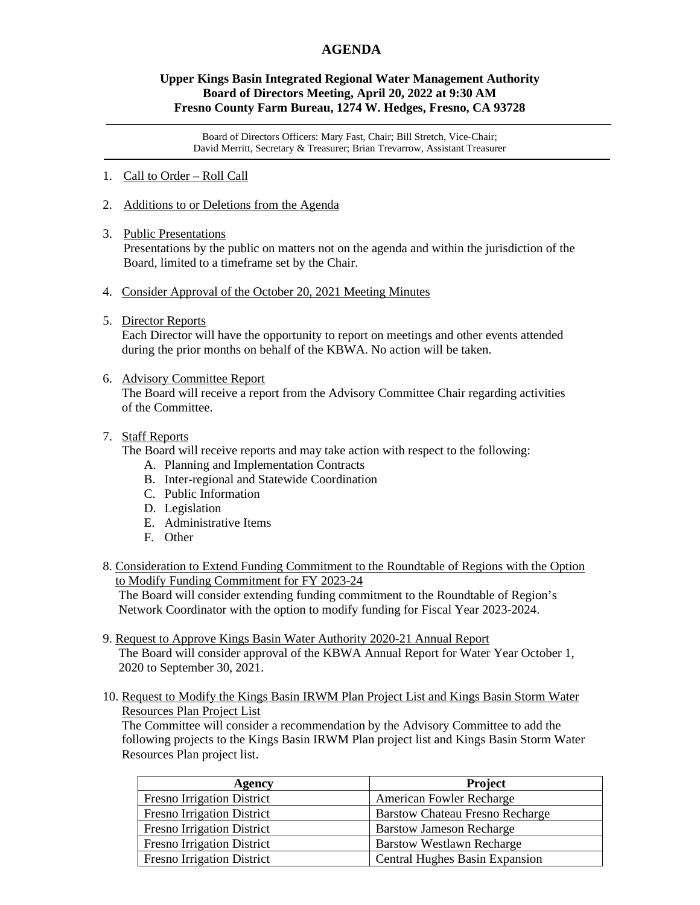# **AGENDA**

## **Upper Kings Basin Integrated Regional Water Management Authority Board of Directors Meeting, April 20, 2022 at 9:30 AM Fresno County Farm Bureau, 1274 W. Hedges, Fresno, CA 93728**

Board of Directors Officers: Mary Fast, Chair; Bill Stretch, Vice-Chair; David Merritt, Secretary & Treasurer; Brian Trevarrow, Assistant Treasurer

- 1. Call to Order Roll Call
- 2. Additions to or Deletions from the Agenda
- 3. Public Presentations

Presentations by the public on matters not on the agenda and within the jurisdiction of the Board, limited to a timeframe set by the Chair.

- 4. Consider Approval of the October 20, 2021 Meeting Minutes
- 5. Director Reports

 Each Director will have the opportunity to report on meetings and other events attended during the prior months on behalf of the KBWA. No action will be taken.

6. Advisory Committee Report

 The Board will receive a report from the Advisory Committee Chair regarding activities of the Committee.

### 7. Staff Reports

The Board will receive reports and may take action with respect to the following:

- A. Planning and Implementation Contracts
- B. Inter-regional and Statewide Coordination
- C. Public Information
- D. Legislation
- E. Administrative Items
- F. Other
- 8. Consideration to Extend Funding Commitment to the Roundtable of Regions with the Option to Modify Funding Commitment for FY 2023-24

 The Board will consider extending funding commitment to the Roundtable of Region's Network Coordinator with the option to modify funding for Fiscal Year 2023-2024.

- 9. Request to Approve Kings Basin Water Authority 2020-21 Annual Report The Board will consider approval of the KBWA Annual Report for Water Year October 1, 2020 to September 30, 2021.
- 10. Request to Modify the Kings Basin IRWM Plan Project List and Kings Basin Storm Water Resources Plan Project List

 The Committee will consider a recommendation by the Advisory Committee to add the following projects to the Kings Basin IRWM Plan project list and Kings Basin Storm Water Resources Plan project list.

| Agency                            | <b>Project</b>                         |
|-----------------------------------|----------------------------------------|
| <b>Fresno Irrigation District</b> | <b>American Fowler Recharge</b>        |
| <b>Fresno Irrigation District</b> | <b>Barstow Chateau Fresno Recharge</b> |
| <b>Fresno Irrigation District</b> | <b>Barstow Jameson Recharge</b>        |
| <b>Fresno Irrigation District</b> | <b>Barstow Westlawn Recharge</b>       |
| <b>Fresno Irrigation District</b> | Central Hughes Basin Expansion         |